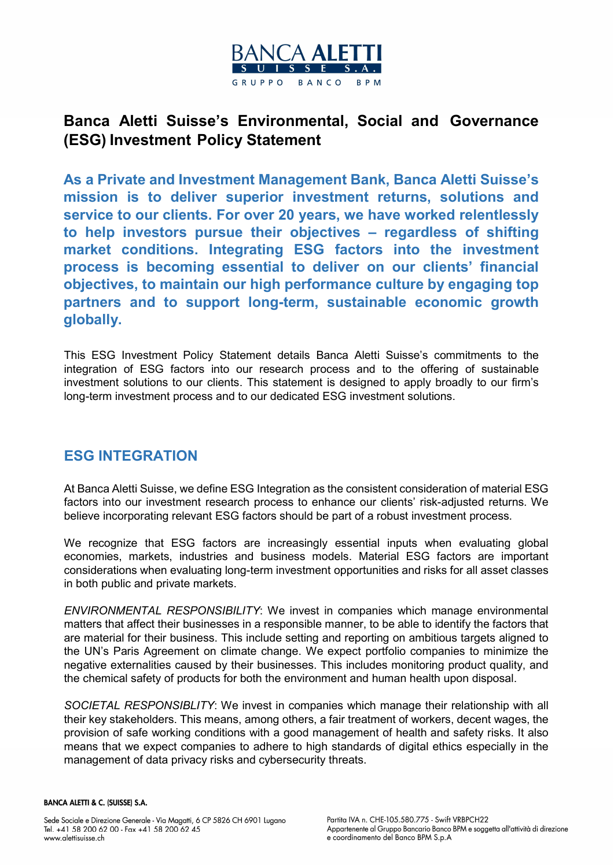

# Banca Aletti Suisse's Environmental, Social and Governance (ESG) Investment Policy Statement

As a Private and Investment Management Bank, Banca Aletti Suisse's mission is to deliver superior investment returns, solutions and service to our clients. For over 20 years, we have worked relentlessly to help investors pursue their objectives – regardless of shifting market conditions. Integrating ESG factors into the investment process is becoming essential to deliver on our clients' financial objectives, to maintain our high performance culture by engaging top partners and to support long-term, sustainable economic growth globally.

This ESG Investment Policy Statement details Banca Aletti Suisse's commitments to the integration of ESG factors into our research process and to the offering of sustainable investment solutions to our clients. This statement is designed to apply broadly to our firm's long-term investment process and to our dedicated ESG investment solutions.

## ESG INTEGRATION

At Banca Aletti Suisse, we define ESG Integration as the consistent consideration of material ESG factors into our investment research process to enhance our clients' risk-adjusted returns. We believe incorporating relevant ESG factors should be part of a robust investment process.

We recognize that ESG factors are increasingly essential inputs when evaluating global economies, markets, industries and business models. Material ESG factors are important considerations when evaluating long-term investment opportunities and risks for all asset classes in both public and private markets.

ENVIRONMENTAL RESPONSIBILITY: We invest in companies which manage environmental matters that affect their businesses in a responsible manner, to be able to identify the factors that are material for their business. This include setting and reporting on ambitious targets aligned to the UN's Paris Agreement on climate change. We expect portfolio companies to minimize the negative externalities caused by their businesses. This includes monitoring product quality, and the chemical safety of products for both the environment and human health upon disposal.

SOCIETAL RESPONSIBLITY: We invest in companies which manage their relationship with all their key stakeholders. This means, among others, a fair treatment of workers, decent wages, the provision of safe working conditions with a good management of health and safety risks. It also means that we expect companies to adhere to high standards of digital ethics especially in the management of data privacy risks and cybersecurity threats.